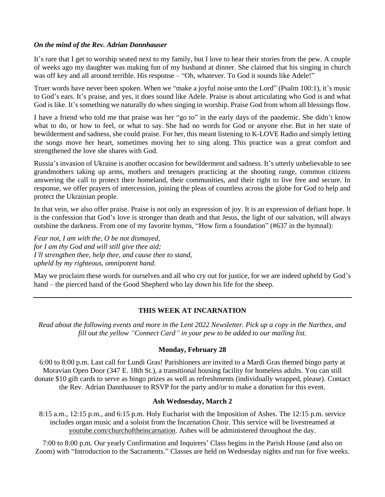#### *On the mind of the Rev. Adrian Dannhauser*

It's rare that I get to worship seated next to my family, but I love to hear their stories from the pew. A couple of weeks ago my daughter was making fun of my husband at dinner. She claimed that his singing in church was off key and all around terrible. His response – "Oh, whatever. To God it sounds like Adele!"

Truer words have never been spoken. When we "make a joyful noise unto the Lord" (Psalm 100:1), it's music to God's ears. It's praise, and yes, it does sound like Adele. Praise is about articulating who God is and what God is like. It's something we naturally do when singing in worship. Praise God from whom all blessings flow.

I have a friend who told me that praise was her "go to" in the early days of the pandemic. She didn't know what to do, or how to feel, or what to say. She had no words for God or anyone else. But in her state of bewilderment and sadness, she could praise. For her, this meant listening to K-LOVE Radio and simply letting the songs move her heart, sometimes moving her to sing along. This practice was a great comfort and strengthened the love she shares with God.

Russia's invasion of Ukraine is another occasion for bewilderment and sadness. It's utterly unbelievable to see grandmothers taking up arms, mothers and teenagers practicing at the shooting range, common citizens answering the call to protect their homeland, their communities, and their right to live free and secure. In response, we offer prayers of intercession, joining the pleas of countless across the globe for God to help and protect the Ukrainian people.

In that vein, we also offer praise. Praise is not only an expression of joy. It is an expression of defiant hope. It is the confession that God's love is stronger than death and that Jesus, the light of our salvation, will always outshine the darkness. From one of my favorite hymns, "How firm a foundation" (#637 in the hymnal):

*Fear not, I am with the, O be not dismayed, for I am thy God and will still give thee aid; I'll strengthen thee, help thee, and cause thee to stand, upheld by my righteous, omnipotent hand.*

May we proclaim these words for ourselves and all who cry out for justice, for we are indeed upheld by God's hand – the pierced hand of the Good Shepherd who lay down his life for the sheep.

# **THIS WEEK AT INCARNATION**

*Read about the following events and more in the Lent 2022 Newsletter. Pick up a copy in the Narthex, and fill out the yellow "Connect Card" in your pew to be added to our mailing list.*

# **Monday, February 28**

6:00 to 8:00 p.m. Last call for Lundi Gras! Parishioners are invited to a Mardi Gras themed bingo party at Moravian Open Door (347 E. 18th St.), a transitional housing facility for homeless adults. You can still donate \$10 gift cards to serve as bingo prizes as well as refreshments (individually wrapped, please). Contact the Rev. Adrian Dannhauser to RSVP for the party and/or to make a donation for this event.

#### **Ash Wednesday, March 2**

8:15 a.m., 12:15 p.m., and 6:15 p.m. Holy Eucharist with the Imposition of Ashes. The 12:15 p.m. service includes organ music and a soloist from the Incarnation Choir. This service will be livestreamed at youtube.com/churchoftheincarnation. Ashes will be administered throughout the day.

7:00 to 8:00 p.m. Our yearly Confirmation and Inquirers' Class begins in the Parish House (and also on Zoom) with "Introduction to the Sacraments." Classes are held on Wednesday nights and run for five weeks.